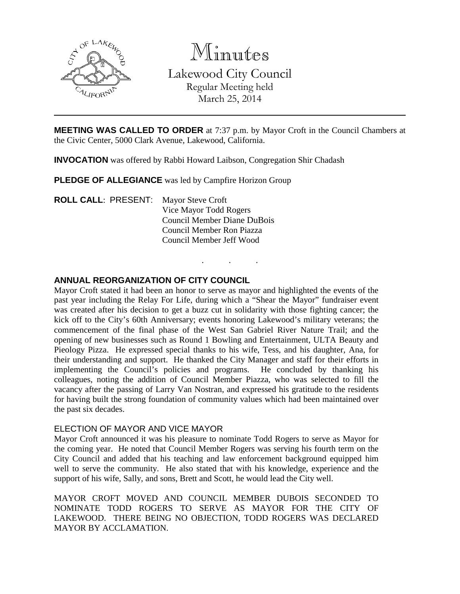

Minutes

Lakewood City Council Regular Meeting held March 25, 2014

**MEETING WAS CALLED TO ORDER** at 7:37 p.m. by Mayor Croft in the Council Chambers at the Civic Center, 5000 Clark Avenue, Lakewood, California.

. . .

**INVOCATION** was offered by Rabbi Howard Laibson, Congregation Shir Chadash

**PLEDGE OF ALLEGIANCE** was led by Campfire Horizon Group

**ROLL CALL: PRESENT:** Mayor Steve Croft Vice Mayor Todd Rogers Council Member Diane DuBois Council Member Ron Piazza Council Member Jeff Wood

## **ANNUAL REORGANIZATION OF CITY COUNCIL**

Mayor Croft stated it had been an honor to serve as mayor and highlighted the events of the past year including the Relay For Life, during which a "Shear the Mayor" fundraiser event was created after his decision to get a buzz cut in solidarity with those fighting cancer; the kick off to the City's 60th Anniversary; events honoring Lakewood's military veterans; the commencement of the final phase of the West San Gabriel River Nature Trail; and the opening of new businesses such as Round 1 Bowling and Entertainment, ULTA Beauty and Pieology Pizza. He expressed special thanks to his wife, Tess, and his daughter, Ana, for their understanding and support. He thanked the City Manager and staff for their efforts in implementing the Council's policies and programs. He concluded by thanking his colleagues, noting the addition of Council Member Piazza, who was selected to fill the vacancy after the passing of Larry Van Nostran, and expressed his gratitude to the residents for having built the strong foundation of community values which had been maintained over the past six decades.

#### ELECTION OF MAYOR AND VICE MAYOR

Mayor Croft announced it was his pleasure to nominate Todd Rogers to serve as Mayor for the coming year. He noted that Council Member Rogers was serving his fourth term on the City Council and added that his teaching and law enforcement background equipped him well to serve the community. He also stated that with his knowledge, experience and the support of his wife, Sally, and sons, Brett and Scott, he would lead the City well.

MAYOR CROFT MOVED AND COUNCIL MEMBER DUBOIS SECONDED TO NOMINATE TODD ROGERS TO SERVE AS MAYOR FOR THE CITY OF LAKEWOOD. THERE BEING NO OBJECTION, TODD ROGERS WAS DECLARED MAYOR BY ACCLAMATION.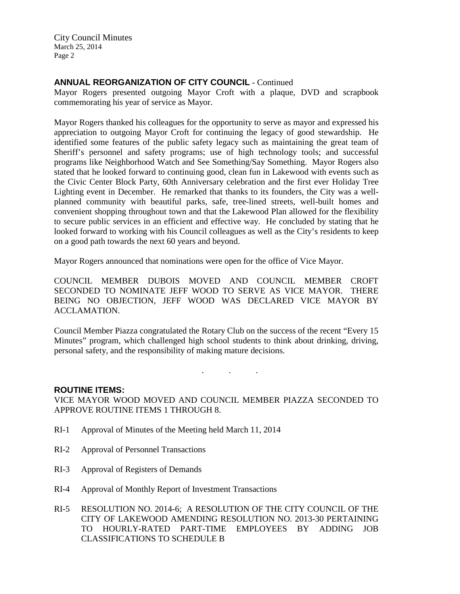# **ANNUAL REORGANIZATION OF CITY COUNCIL** - Continued

Mayor Rogers presented outgoing Mayor Croft with a plaque, DVD and scrapbook commemorating his year of service as Mayor.

Mayor Rogers thanked his colleagues for the opportunity to serve as mayor and expressed his appreciation to outgoing Mayor Croft for continuing the legacy of good stewardship. He identified some features of the public safety legacy such as maintaining the great team of Sheriff's personnel and safety programs; use of high technology tools; and successful programs like Neighborhood Watch and See Something/Say Something. Mayor Rogers also stated that he looked forward to continuing good, clean fun in Lakewood with events such as the Civic Center Block Party, 60th Anniversary celebration and the first ever Holiday Tree Lighting event in December. He remarked that thanks to its founders, the City was a wellplanned community with beautiful parks, safe, tree-lined streets, well-built homes and convenient shopping throughout town and that the Lakewood Plan allowed for the flexibility to secure public services in an efficient and effective way. He concluded by stating that he looked forward to working with his Council colleagues as well as the City's residents to keep on a good path towards the next 60 years and beyond.

Mayor Rogers announced that nominations were open for the office of Vice Mayor.

COUNCIL MEMBER DUBOIS MOVED AND COUNCIL MEMBER CROFT SECONDED TO NOMINATE JEFF WOOD TO SERVE AS VICE MAYOR. THERE BEING NO OBJECTION, JEFF WOOD WAS DECLARED VICE MAYOR BY ACCLAMATION.

Council Member Piazza congratulated the Rotary Club on the success of the recent "Every 15 Minutes" program, which challenged high school students to think about drinking, driving, personal safety, and the responsibility of making mature decisions.

. . .

## **ROUTINE ITEMS:**

VICE MAYOR WOOD MOVED AND COUNCIL MEMBER PIAZZA SECONDED TO APPROVE ROUTINE ITEMS 1 THROUGH 8.

- RI-1 Approval of Minutes of the Meeting held March 11, 2014
- RI-2 Approval of Personnel Transactions
- RI-3 Approval of Registers of Demands
- RI-4 Approval of Monthly Report of Investment Transactions
- RI-5 RESOLUTION NO. 2014-6; A RESOLUTION OF THE CITY COUNCIL OF THE CITY OF LAKEWOOD AMENDING RESOLUTION NO. 2013-30 PERTAINING TO HOURLY-RATED PART-TIME EMPLOYEES BY ADDING JOB CLASSIFICATIONS TO SCHEDULE B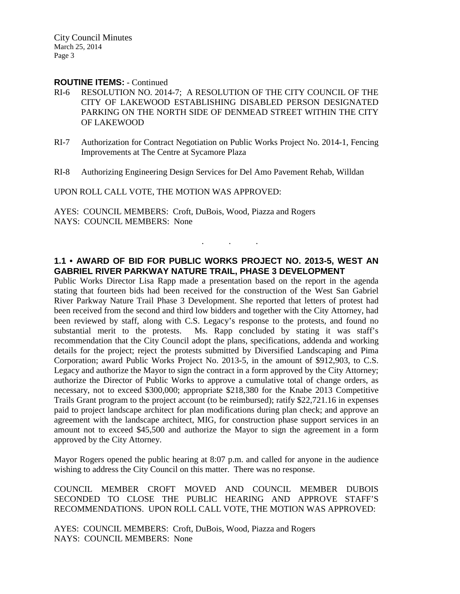#### **ROUTINE ITEMS:** - Continued

- RI-6 RESOLUTION NO. 2014-7; A RESOLUTION OF THE CITY COUNCIL OF THE CITY OF LAKEWOOD ESTABLISHING DISABLED PERSON DESIGNATED PARKING ON THE NORTH SIDE OF DENMEAD STREET WITHIN THE CITY OF LAKEWOOD
- RI-7 Authorization for Contract Negotiation on Public Works Project No. 2014-1, Fencing Improvements at The Centre at Sycamore Plaza
- RI-8 Authorizing Engineering Design Services for Del Amo Pavement Rehab, Willdan

UPON ROLL CALL VOTE, THE MOTION WAS APPROVED:

AYES: COUNCIL MEMBERS: Croft, DuBois, Wood, Piazza and Rogers NAYS: COUNCIL MEMBERS: None

#### **1.1 • AWARD OF BID FOR PUBLIC WORKS PROJECT NO. 2013-5, WEST AN GABRIEL RIVER PARKWAY NATURE TRAIL, PHASE 3 DEVELOPMENT**

. . .

Public Works Director Lisa Rapp made a presentation based on the report in the agenda stating that fourteen bids had been received for the construction of the West San Gabriel River Parkway Nature Trail Phase 3 Development. She reported that letters of protest had been received from the second and third low bidders and together with the City Attorney, had been reviewed by staff, along with C.S. Legacy's response to the protests, and found no substantial merit to the protests. Ms. Rapp concluded by stating it was staff's recommendation that the City Council adopt the plans, specifications, addenda and working details for the project; reject the protests submitted by Diversified Landscaping and Pima Corporation; award Public Works Project No. 2013-5, in the amount of \$912,903, to C.S. Legacy and authorize the Mayor to sign the contract in a form approved by the City Attorney; authorize the Director of Public Works to approve a cumulative total of change orders, as necessary, not to exceed \$300,000; appropriate \$218,380 for the Knabe 2013 Competitive Trails Grant program to the project account (to be reimbursed); ratify \$22,721.16 in expenses paid to project landscape architect for plan modifications during plan check; and approve an agreement with the landscape architect, MIG, for construction phase support services in an amount not to exceed \$45,500 and authorize the Mayor to sign the agreement in a form approved by the City Attorney.

Mayor Rogers opened the public hearing at 8:07 p.m. and called for anyone in the audience wishing to address the City Council on this matter. There was no response.

COUNCIL MEMBER CROFT MOVED AND COUNCIL MEMBER DUBOIS SECONDED TO CLOSE THE PUBLIC HEARING AND APPROVE STAFF'S RECOMMENDATIONS. UPON ROLL CALL VOTE, THE MOTION WAS APPROVED:

AYES: COUNCIL MEMBERS: Croft, DuBois, Wood, Piazza and Rogers NAYS: COUNCIL MEMBERS: None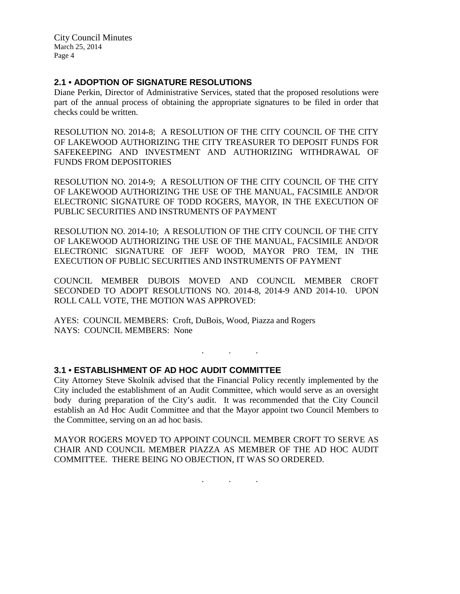## **2.1 • ADOPTION OF SIGNATURE RESOLUTIONS**

Diane Perkin, Director of Administrative Services, stated that the proposed resolutions were part of the annual process of obtaining the appropriate signatures to be filed in order that checks could be written.

RESOLUTION NO. 2014-8; A RESOLUTION OF THE CITY COUNCIL OF THE CITY OF LAKEWOOD AUTHORIZING THE CITY TREASURER TO DEPOSIT FUNDS FOR SAFEKEEPING AND INVESTMENT AND AUTHORIZING WITHDRAWAL OF FUNDS FROM DEPOSITORIES

RESOLUTION NO. 2014-9; A RESOLUTION OF THE CITY COUNCIL OF THE CITY OF LAKEWOOD AUTHORIZING THE USE OF THE MANUAL, FACSIMILE AND/OR ELECTRONIC SIGNATURE OF TODD ROGERS, MAYOR, IN THE EXECUTION OF PUBLIC SECURITIES AND INSTRUMENTS OF PAYMENT

RESOLUTION NO. 2014-10; A RESOLUTION OF THE CITY COUNCIL OF THE CITY OF LAKEWOOD AUTHORIZING THE USE OF THE MANUAL, FACSIMILE AND/OR ELECTRONIC SIGNATURE OF JEFF WOOD, MAYOR PRO TEM, IN THE EXECUTION OF PUBLIC SECURITIES AND INSTRUMENTS OF PAYMENT

COUNCIL MEMBER DUBOIS MOVED AND COUNCIL MEMBER CROFT SECONDED TO ADOPT RESOLUTIONS NO. 2014-8, 2014-9 AND 2014-10. UPON ROLL CALL VOTE, THE MOTION WAS APPROVED:

AYES: COUNCIL MEMBERS: Croft, DuBois, Wood, Piazza and Rogers NAYS: COUNCIL MEMBERS: None

## **3.1 • ESTABLISHMENT OF AD HOC AUDIT COMMITTEE**

City Attorney Steve Skolnik advised that the Financial Policy recently implemented by the City included the establishment of an Audit Committee, which would serve as an oversight body during preparation of the City's audit. It was recommended that the City Council establish an Ad Hoc Audit Committee and that the Mayor appoint two Council Members to the Committee, serving on an ad hoc basis.

. . .

MAYOR ROGERS MOVED TO APPOINT COUNCIL MEMBER CROFT TO SERVE AS CHAIR AND COUNCIL MEMBER PIAZZA AS MEMBER OF THE AD HOC AUDIT COMMITTEE. THERE BEING NO OBJECTION, IT WAS SO ORDERED.

. . .